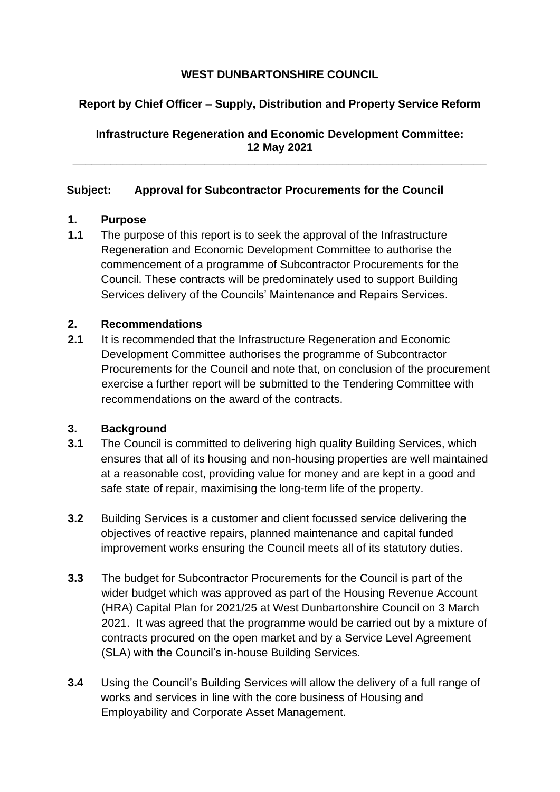# **WEST DUNBARTONSHIRE COUNCIL**

# **Report by Chief Officer – Supply, Distribution and Property Service Reform**

**Infrastructure Regeneration and Economic Development Committee: 12 May 2021**

**\_\_\_\_\_\_\_\_\_\_\_\_\_\_\_\_\_\_\_\_\_\_\_\_\_\_\_\_\_\_\_\_\_\_\_\_\_\_\_\_\_\_\_\_\_\_\_\_\_\_\_\_\_\_\_\_\_\_\_\_\_\_\_\_\_\_**

#### **Subject: Approval for Subcontractor Procurements for the Council**

#### **1. Purpose**

**1.1** The purpose of this report is to seek the approval of the Infrastructure Regeneration and Economic Development Committee to authorise the commencement of a programme of Subcontractor Procurements for the Council. These contracts will be predominately used to support Building Services delivery of the Councils' Maintenance and Repairs Services.

#### **2. Recommendations**

**2.1** It is recommended that the Infrastructure Regeneration and Economic Development Committee authorises the programme of Subcontractor Procurements for the Council and note that, on conclusion of the procurement exercise a further report will be submitted to the Tendering Committee with recommendations on the award of the contracts.

#### **3. Background**

- **3.1** The Council is committed to delivering high quality Building Services, which ensures that all of its housing and non-housing properties are well maintained at a reasonable cost, providing value for money and are kept in a good and safe state of repair, maximising the long-term life of the property.
- **3.2** Building Services is a customer and client focussed service delivering the objectives of reactive repairs, planned maintenance and capital funded improvement works ensuring the Council meets all of its statutory duties.
- **3.3** The budget for Subcontractor Procurements for the Council is part of the wider budget which was approved as part of the Housing Revenue Account (HRA) Capital Plan for 2021/25 at West Dunbartonshire Council on 3 March 2021. It was agreed that the programme would be carried out by a mixture of contracts procured on the open market and by a Service Level Agreement (SLA) with the Council's in-house Building Services.
- **3.4** Using the Council's Building Services will allow the delivery of a full range of works and services in line with the core business of Housing and Employability and Corporate Asset Management.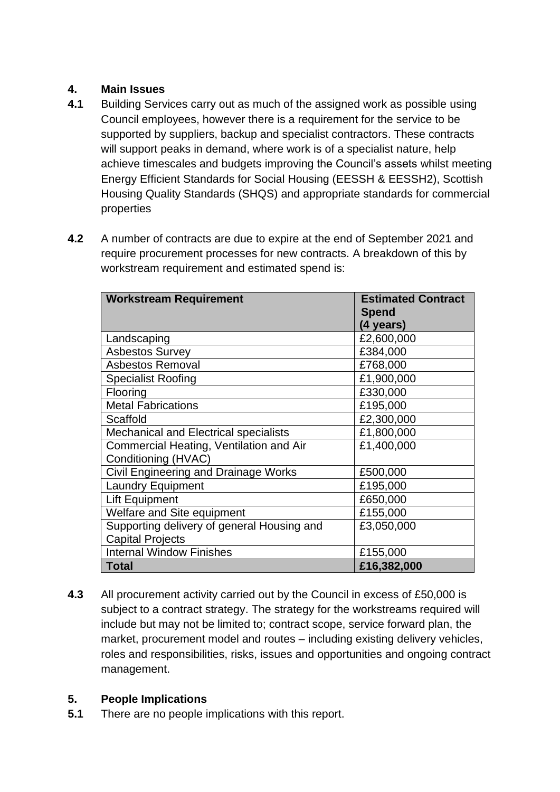# **4. Main Issues**

- **4.1** Building Services carry out as much of the assigned work as possible using Council employees, however there is a requirement for the service to be supported by suppliers, backup and specialist contractors. These contracts will support peaks in demand, where work is of a specialist nature, help achieve timescales and budgets improving the Council's assets whilst meeting Energy Efficient Standards for Social Housing (EESSH & EESSH2), Scottish Housing Quality Standards (SHQS) and appropriate standards for commercial properties
- **4.2** A number of contracts are due to expire at the end of September 2021 and require procurement processes for new contracts. A breakdown of this by workstream requirement and estimated spend is:

| <b>Workstream Requirement</b>                | <b>Estimated Contract</b> |
|----------------------------------------------|---------------------------|
|                                              | <b>Spend</b>              |
|                                              | (4 years)                 |
| Landscaping                                  | £2,600,000                |
| <b>Asbestos Survey</b>                       | £384,000                  |
| <b>Asbestos Removal</b>                      | £768,000                  |
| <b>Specialist Roofing</b>                    | £1,900,000                |
| Flooring                                     | £330,000                  |
| <b>Metal Fabrications</b>                    | £195,000                  |
| Scaffold                                     | £2,300,000                |
| <b>Mechanical and Electrical specialists</b> | £1,800,000                |
| Commercial Heating, Ventilation and Air      | £1,400,000                |
| Conditioning (HVAC)                          |                           |
| Civil Engineering and Drainage Works         | £500,000                  |
| <b>Laundry Equipment</b>                     | £195,000                  |
| Lift Equipment                               | £650,000                  |
| <b>Welfare and Site equipment</b>            | £155,000                  |
| Supporting delivery of general Housing and   | £3,050,000                |
| <b>Capital Projects</b>                      |                           |
| <b>Internal Window Finishes</b>              | £155,000                  |
| <b>Total</b>                                 | £16,382,000               |

**4.3** All procurement activity carried out by the Council in excess of £50,000 is subject to a contract strategy. The strategy for the workstreams required will include but may not be limited to; contract scope, service forward plan, the market, procurement model and routes – including existing delivery vehicles, roles and responsibilities, risks, issues and opportunities and ongoing contract management.

# **5. People Implications**

**5.1** There are no people implications with this report.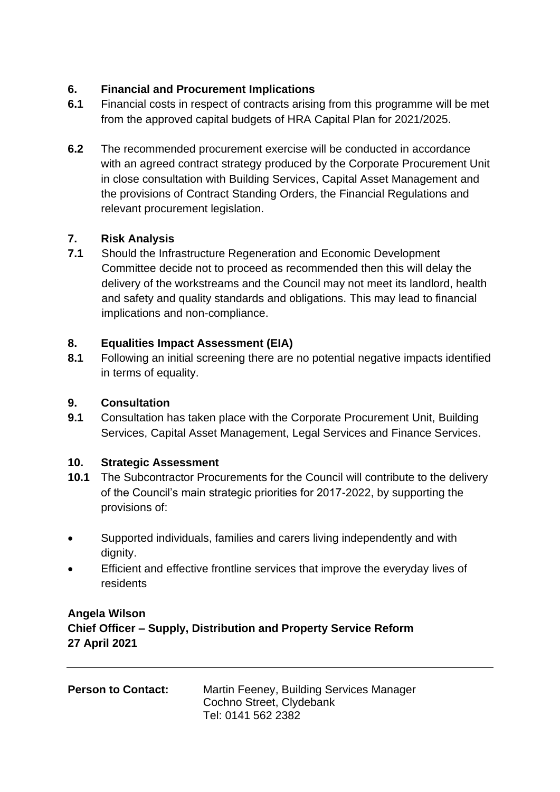# **6. Financial and Procurement Implications**

- **6.1** Financial costs in respect of contracts arising from this programme will be met from the approved capital budgets of HRA Capital Plan for 2021/2025.
- **6.2** The recommended procurement exercise will be conducted in accordance with an agreed contract strategy produced by the Corporate Procurement Unit in close consultation with Building Services, Capital Asset Management and the provisions of Contract Standing Orders, the Financial Regulations and relevant procurement legislation.

# **7. Risk Analysis**

**7.1** Should the Infrastructure Regeneration and Economic Development Committee decide not to proceed as recommended then this will delay the delivery of the workstreams and the Council may not meet its landlord, health and safety and quality standards and obligations. This may lead to financial implications and non-compliance.

# **8. Equalities Impact Assessment (EIA)**

**8.1** Following an initial screening there are no potential negative impacts identified in terms of equality.

## **9. Consultation**

**9.1** Consultation has taken place with the Corporate Procurement Unit, Building Services, Capital Asset Management, Legal Services and Finance Services.

### **10. Strategic Assessment**

- **10.1** The Subcontractor Procurements for the Council will contribute to the delivery of the Council's main strategic priorities for 2017-2022, by supporting the provisions of:
- Supported individuals, families and carers living independently and with dignity.
- Efficient and effective frontline services that improve the everyday lives of residents

# **Angela Wilson Chief Officer – Supply, Distribution and Property Service Reform 27 April 2021**

| <b>Person to Contact:</b> | Martin Feeney, Building Services Manager |
|---------------------------|------------------------------------------|
|                           | Cochno Street, Clydebank                 |
|                           | Tel: 0141 562 2382                       |